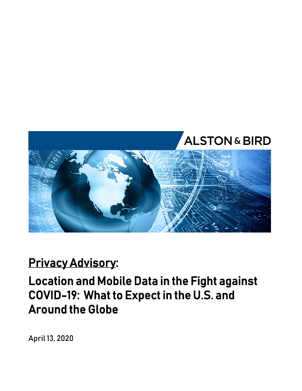

### **Privacy Advisory:**

### **Location and Mobile Data in the Fight against COVID-19: What to Expect in the U.S. and Around the Globe**

April 13, 2020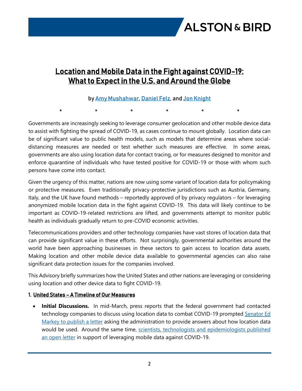

### **Location and Mobile Data in the Fight against COVID-19: What to Expect in the U.S. and Around the Globe**

#### by [Amy Mushahwar,](https://www.alston.com/en/professionals/m/mushahwar-amy-s/) [Daniel Felz](https://www.alston.com/en/professionals/f/felz-daniel-j), and [Jon Knight](https://www.alston.com/en/professionals/k/knight-jon/)

\* \* \* \* \* \*

Governments are increasingly seeking to leverage consumer geolocation and other mobile device data to assist with fighting the spread of COVID-19, as cases continue to mount globally. Location data can be of significant value to public health models, such as models that determine areas where socialdistancing measures are needed or test whether such measures are effective. In some areas, governments are also using location data for contact tracing, or for measures designed to monitor and enforce quarantine of individuals who have tested positive for COVID-19 or those with whom such persons have come into contact.

Given the urgency of this matter, nations are now using some variant of location data for policymaking or protective measures. Even traditionally privacy-protective jurisdictions such as Austria, Germany, Italy, and the UK have found methods – reportedly approved of by privacy regulators – for leveraging anonymized mobile location data in the fight against COVID-19. This data will likely continue to be important as COVID-19-related restrictions are lifted, and governments attempt to monitor public health as individuals gradually return to pre-COVID economic activities.

Telecommunications providers and other technology companies have vast stores of location data that can provide significant value in these efforts. Not surprisingly, governmental authorities around the world have been approaching businesses in these sectors to gain access to location data assets. Making location and other mobile device data available to governmental agencies can also raise significant data protection issues for the companies involved.

This Advisory briefly summarizes how the United States and other nations are leveraging or considering using location and other device data to fight COVID-19.

#### **1. United States – A Timeline of Our Measures**

 **Initial Discussions.** In mid-March, press reports that the federal government had contacted technology companies to discuss using location data to combat COVID-19 prompted Senator Ed [Markey to publish a letter](https://www.markey.senate.gov/imo/media/doc/Markey%20Letter%20-%20OSTP%20Location%20Data%203.18.20.pdf) asking the administration to provide answers about how location data would be used. Around the same time, scientists, technologists and epidemiologists published [an open letter](https://stop-covid.tech/) in support of leveraging mobile data against COVID-19.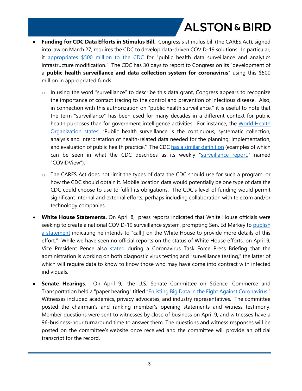- **Funding for CDC Data Efforts in Stimulus Bill.** Congress's stimulus bill (the CARES Act), signed into law on March 27, requires the CDC to develop data-driven COVID-19 solutions. In particular, it [appropriates \\$500 million to the CDC](https://www.congress.gov/bill/116th-congress/house-bill/748/text#toc-H165BCD10ED84484EA6114C0F6FF4E663) for "public health data surveillance and analytics infrastructure modification." The CDC has 30 days to report to Congress on its "development of a **public health surveillance and data collection system for coronavirus**" using this \$500 million in appropriated funds.
	- $\circ$  In using the word "surveillance" to describe this data grant, Congress appears to recognize the importance of contact tracing to the control and prevention of infectious disease. Also, in connection with this authorization on "public health surveillance," it is useful to note that the term "surveillance" has been used for many decades in a different context for public health purposes than for government intelligence activities. For instance, the World Health [Organization states](https://www.who.int/topics/public_health_surveillance/en/): "Public health surveillance is the continuous, systematic collection, analysis and interpretation of health-related data needed for the planning, implementation, and evaluation of public health practice." The CDC [has a similar definition](https://www.cdc.gov/surveillance/improving-surveillance/Public-health-surveillance.html) (examples of which can be seen in what the CDC describes as its weekly "[surveillance report](https://www.cdc.gov/media/releases/2020/s0404-covid19-surveillance-report.html)," named "COVIDView").
	- o The CARES Act does not limit the types of data the CDC should use for such a program, or how the CDC should obtain it. Mobile location data would potentially be one type of data the CDC could choose to use to fulfill its obligations. The CDC's level of funding would permit significant internal and external efforts, perhaps including collaboration with telecom and/or technology companies.
- **White House Statements.** On April 8, press reports indicated that White House officials were seeking to create a national COVID-19 surveillance system, prompting Sen. Ed Markey to publish [a statement](https://www.markey.senate.gov/news/press-releases/senator-markey-statement-on-reported-white-house-national-coronavirus-surveillance-system) indicating he intends to "call[] on the White House to provide more details of this effort." While we have seen no official reports on the status of White House efforts, on April 9, Vice President Pence also [stated](https://www.whitehouse.gov/briefings-statements/remarks-president-trump-vice-president-pence-members-coronavirus-task-force-press-briefing-23/) during a Coronavirus Task Force Press Briefing that the administration is working on both diagnostic virus testing and "surveillance testing," the latter of which will require data to know to know those who may have come into contract with infected individuals.
- **Senate Hearings.** On April 9, the U.S. Senate Committee on Science, Commerce and Transportation held a "paper hearing" titled ["Enlisting Big Data in the Fight Against Coronavirus."](https://www.commerce.senate.gov/2020/4/enlisting-big-data-in-the-fight-against-coronavirus) Witnesses included academics, privacy advocates, and industry representatives. The committee posted the chairman's and ranking member's opening statements and witness testimony. Member questions were sent to witnesses by close of business on April 9, and witnesses have a 96-business-hour turnaround time to answer them. The questions and witness responses will be posted on the committee's website once received and the committee will provide an official transcript for the record.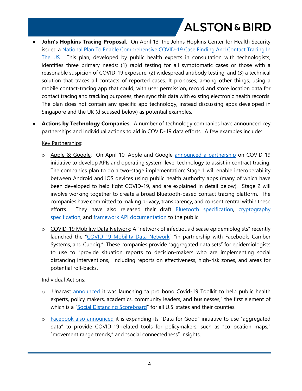- John's Hopkins Tracing Proposal. On April 13, the Johns Hopkins Center for Health Security issued a [National Plan To Enable Comprehensive COVID-19 Case Finding And Contact Tracing In](http://www.centerforhealthsecurity.org/our-work/pubs_archive/pubs-pdfs/2020/a-national-plan-to-enable-comprehensive-COVID-19-case-finding-and-contact-tracing-in-the-US.pdf)  [The US](http://www.centerforhealthsecurity.org/our-work/pubs_archive/pubs-pdfs/2020/a-national-plan-to-enable-comprehensive-COVID-19-case-finding-and-contact-tracing-in-the-US.pdf). This plan, developed by public health experts in consultation with technologists, identifies three primary needs: (1) rapid testing for all symptomatic cases or those with a reasonable suspicion of COVID-19 exposure; (2) widespread antibody testing; and (3) a technical solution that traces all contacts of reported cases. It proposes, among other things, using a mobile contact-tracing app that could, with user permission, record and store location data for contact tracing and tracking purposes, then sync this data with existing electronic health records. The plan does not contain any specific app technology, instead discussing apps developed in Singapore and the UK (discussed below) as potential examples.
- **Actions by Technology Companies**. A number of technology companies have announced key partnerships and individual actions to aid in COVID-19 data efforts. A few examples include:

#### Key Partnerships:

- o Apple & Google: On April 10, Apple and Google [announced a partnership](https://www.apple.com/newsroom/2020/04/apple-and-google-partner-on-covid-19-contact-tracing-technology/) on COVID-19 initiative to develop APIs and operating system-level technology to assist in contract tracing. The companies plan to do a two-stage implementation: Stage 1 will enable interoperability between Android and iOS devices using public health authority apps (many of which have been developed to help fight COVID-19, and are explained in detail below). Stage 2 will involve working together to create a broad Bluetooth-based contact tracing platform. The companies have committed to making privacy, transparency, and consent central within these efforts. They have also released their draft [Bluetooth specification,](https://covid19-static.cdn-apple.com/applications/covid19/current/static/contact-tracing/pdf/ContactTracing-BluetoothSpecificationv1.1.pdf) [cryptography](https://covid19-static.cdn-apple.com/applications/covid19/current/static/contact-tracing/pdf/ContactTracing-CryptographySpecification.pdf)  [specification](https://covid19-static.cdn-apple.com/applications/covid19/current/static/contact-tracing/pdf/ContactTracing-CryptographySpecification.pdf), and [framework API documentation](https://covid19-static.cdn-apple.com/applications/covid19/current/static/contact-tracing/pdf/ContactTracing-FrameworkDocumentation.pdf) to the public.
- o COVID-19 Mobility Data Network: A "network of infectious disease epidemiologists" recently launched the "[COVID-19 Mobility Data Network"](https://www.covid19mobility.org/) "in partnership with Facebook, Camber Systems, and Cuebiq." These companies provide "aggregated data sets" for epidemiologists to use to "provide situation reports to decision-makers who are implementing social distancing interventions," including reports on effectiveness, high-risk zones, and areas for potential roll-backs.

#### Individual Actions:

- o Unacast [announced](https://www.unacast.com/post/the-unacast-social-distancing-scoreboard) it was launching "a pro bono Covid-19 Toolkit to help public health experts, policy makers, academics, community leaders, and businesses," the first element of which is a "[Social Distancing Scoreboard"](https://www.unacast.com/covid19/social-distancing-scoreboard) for all U.S. states and their counties.
- o [Facebook also announced](https://about.fb.com/news/2020/04/data-for-good/) it is expanding its "Data for Good" initiative to use "aggregated data" to provide COVID-19-related tools for policymakers, such as "co-location maps," "movement range trends," and "social connectedness" insights.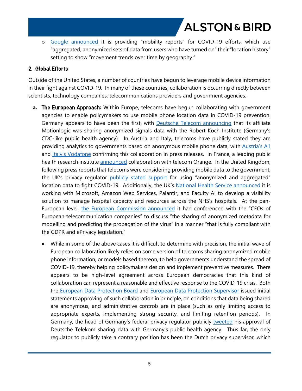o [Google announced](https://www.google.com/covid19/mobility/) it is providing "mobility reports" for COVID-19 efforts, which use "aggregated, anonymized sets of data from users who have turned on" their "location history" setting to show "movement trends over time by geography."

#### **2. Global Efforts**

Outside of the United States, a number of countries have begun to leverage mobile device information in their fight against COVID-19. In many of these countries, collaboration is occurring directly between scientists, technology companies, telecommunications providers and government agencies.

- **a. The European Approach:** Within Europe, telecoms have begun collaborating with government agencies to enable policymakers to use mobile phone location data in COVID-19 prevention. Germany appears to have been the first, with [Deutsche Telecom announcing](https://www.telekom.com/de/blog/konzern/artikel/mit-schwarmdaten-gegen-ansteckung-597374) that its affiliate Motionlogic was sharing anonymized signals data with the Robert Koch Institute (Germany's CDC-like public health agency). In Austria and Italy, telecoms have publicly stated they are providing analytics to governments based on anonymous mobile phone data, with [Austria's A1](https://newsroom.a1.net/news-stellungnahme-zur-aktuellen-medienberichterstattung?id=103337&menueid=12658&l=deutsch) and [Italy's Vodafone](https://www.vodafone.com/news-and-media/vodafone-group-releases/news/vodafone-launches-five-point-plan-to-help-counter-the-impacts-of-the-covid-19-outbreak) confirming this collaboration in press releases. In France, a leading public health research institute [announced](https://presse.inserm.fr/en/deploying-cellphone-data-to-fight-covid-19/38831/) collaboration with telecom Orange. In the United Kingdom, following press reports that telecoms were considering providing mobile data to the government, the UK's privacy regulator [publicly stated support](https://ico.org.uk/about-the-ico/news-and-events/news-and-blogs/2020/03/statement-in-response-to-the-use-of-mobile-phone-tracking-data-to-help-during-the-coronavirus-crisis/) for using "anonymized and aggregated" location data to fight COVID-19. Additionally, the UK's [National Health Service announced](https://healthtech.blog.gov.uk/2020/03/28/the-power-of-data-in-a-pandemic/) it is working with Microsoft, Amazon Web Services, Palantir, and Faculty AI to develop a visibility solution to manage hospital capacity and resources across the NHS's hospitals. At the pan-European level, [the European Commission announced](https://ec.europa.eu/commission/presscorner/detail/en/mex_20_521) it had conferenced with the "CEOs of European telecommunication companies" to discuss "the sharing of anonymized metadata for modelling and predicting the propagation of the virus" in a manner "that is fully compliant with the GDPR and ePrivacy legislation."
	- While in some of the above cases it is difficult to determine with precision, the initial wave of European collaboration likely relies on some version of telecoms sharing anonymized mobile phone information, or models based thereon, to help governments understand the spread of COVID-19, thereby helping policymakers design and implement preventive measures. There appears to be high-level agreement across European democracies that this kind of collaboration can represent a reasonable and effective response to the COVID-19 crisis. Both the [European Data Protection Board](https://edpb.europa.eu/sites/edpb/files/files/file1/edpb_statement_2020_processingpersonaldataandcovid-19_en.pdf) and [European Data Protection Supervisor](https://edps.europa.eu/sites/edp/files/publication/20-03-25_edps_comments_concerning_covid-19_monitoring_of_spread_en.pdf) issued initial statements approving of such collaboration in principle, on conditions that data being shared are anonymous, and administrative controls are in place (such as only limiting access to appropriate experts, implementing strong security, and limiting retention periods). In Germany, the head of Germany's federal privacy regulator publicly [tweeted](https://twitter.com/ulrichkelber/status/1240239195236466688?s=21) his approval of Deutsche Telekom sharing data with Germany's public health agency. Thus far, the only regulator to publicly take a contrary position has been the Dutch privacy supervisor, which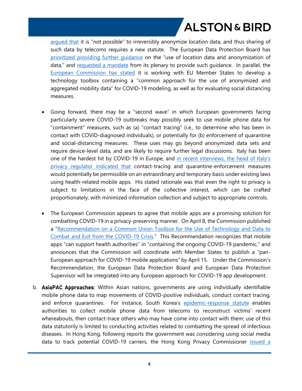arqued that it is "not possible" to irreversibly anonymize location data, and thus sharing of such data by telecoms requires a new statute. The European Data Protection Board has [prioritized providing further guidance](https://edpb.europa.eu/news/news/2020/european-data-protection-board-issue-guidance-data-processing-fight-against-covid-19_en) on the "use of location data and anonymization of data," and [requested a mandate](https://edpb.europa.eu/sites/edpb/files/files/file1/edpb_20200407_rfm_locationcontactdatacovid19.pdf) from its plenary to provide such quidance. In parallel, the [European Commission has stated](https://ec.europa.eu/info/sites/info/files/recommendation_on_apps_for_contact_tracing_4.pdf) it is working with EU Member States to develop a technology toolbox containing a "common approach for the use of anonymized and aggregated mobility data" for COVID-19 modeling, as well as for evaluating social distancing measures.

- Going forward, there may be a "second wave" in which European governments facing particularly severe COVID-19 outbreaks may possibly seek to use mobile phone data for "containment" measures, such as (a) "contact tracing" (i.e., to determine who has been in contact with COVID-diagnosed individuals), or potentially for (b) enforcement of quarantine and social-distancing measures. These uses may go beyond anonymized data sets and require device-level data, and are likely to require further legal discussions. Italy has been one of the hardest hit by COVID-19 in Europe, and [in recent interviews, the head of Italy's](https://www.garanteprivacy.it/web/guest/home/docweb/-/docweb-display/docweb/9298389)  [privacy regulator indicated that](https://www.garanteprivacy.it/web/guest/home/docweb/-/docweb-display/docweb/9298389) contact-tracing and quarantine-enforcement measures would potentially be permissible on an extraordinary and temporary basis under existing laws using health-related mobile apps. His stated rationale was that even the right to privacy is subject to limitations in the face of the collective interest, which can be crafted proportionately, with minimized information collection and subject to appropriate controls.
- The European Commission appears to agree that mobile apps are a promising solution for combatting COVID-19 in a privacy-preserving manner. On April 8, the Commission published a "Recommendation on a Common Union Toolbox for the Use of Technology and Data to [Combat and Exit from the COVID-19 Crisis.](https://ec.europa.eu/info/sites/info/files/recommendation_on_apps_for_contact_tracing_4.pdf)" This Recommendation recognizes that mobile apps "can support health authorities" in "containing the ongoing COVID-19 pandemic," and announces that the Commission will coordinate with Member States to publish a "pan-European approach for COVID-19 mobile applications" by April 15. Under the Commission's Recommendation, the European Data Protection Board and European Data Protection Supervisor will be integrated into any European approach for COVID-19 app development.
- b. **AsiaPAC Approaches**: Within Asian nations, governments are using individually identifiable mobile phone data to map movements of COVID-positive individuals, conduct contact tracing, and enforce quarantines. For instance, South Korea's [epidemic-response statute](https://elaw.klri.re.kr/eng_mobile/ganadaDetail.do?hseq=37239&type=abc&key=INFECTIOUS%20DISEASE%20CONTROL%20AND%20PREVENTION%20ACT¶m=I) enables authorities to collect mobile phone data from telecoms to reconstruct victims' recent whereabouts, then contact-trace others who may have come into contact with them; use of this data statutorily is limited to conducting activities related to combatting the spread of infectious diseases. In Hong Kong, following reports the government was considering using social media data to track potential COVID-19 carriers, the Hong Kong Privacy Commissioner [issued a](https://www.pcpd.org.hk/english/news_events/media_statements/press_20200226.html)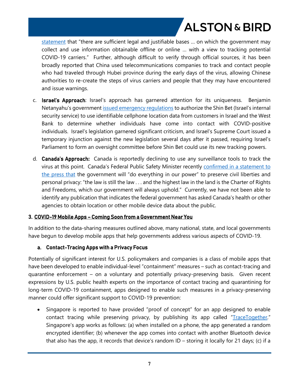[statement](https://www.pcpd.org.hk/english/news_events/media_statements/press_20200226.html) that "there are sufficient legal and justifiable bases ... on which the government may collect and use information obtainable offline or online … with a view to tracking potential COVID-19 carriers." Further, although difficult to verify through official sources, it has been broadly reported that China used telecommunications companies to track and contact people who had traveled through Hubei province during the early days of the virus, allowing Chinese authorities to re-create the steps of virus carriers and people that they may have encountered and issue warnings.

- c. **Israel's Approach**: Israel's approach has garnered attention for its uniqueness. Benjamin Netanyahu's government [issued emergency regulations](https://www.gov.il/he/departments/policies/dec4899_2020) to authorize the Shin Bet (Israel's internal security service) to use identifiable cellphone location data from customers in Israel and the West Bank to determine whether individuals have come into contact with COVID-positive individuals. Israel's legislation garnered significant criticism, and Israel's Supreme Court issued a temporary injunction against the new legislation several days after it passed, requiring Israel's Parliament to form an oversight committee before Shin Bet could use its new tracking powers.
- d. **Canada's Approach:** Canada is reportedly declining to use any surveillance tools to track the virus at this point. Canada's Federal Public Safety Minister recently confirmed in a statement to [the press that](https://www.thestar.com/politics/federal/2020/03/27/some-countries-are-spying-on-their-citizens-in-the-fight-against-covid-19-ottawa-rejects-the-idea-at-least-for-now.html) the government will "do everything in our power" to preserve civil liberties and personal privacy: "the law is still the law . . . and the highest law in the land is the Charter of Rights and Freedoms, which our government will always uphold." Currently, we have not been able to identify any publication that indicates the federal government has asked Canada's health or other agencies to obtain location or other mobile device data about the public.

#### **3. COVID-19 Mobile Apps – Coming Soon from a Government Near You**

In addition to the data-sharing measures outlined above, many national, state, and local governments have begun to develop mobile apps that help governments address various aspects of COVID-19.

#### **a. Contact-Tracing Apps with a Privacy Focus**

Potentially of significant interest for U.S. policymakers and companies is a class of mobile apps that have been developed to enable individual-level "containment" measures – such as contact-tracing and quarantine enforcement – on a voluntary and potentially privacy-preserving basis. Given recent expressions by U.S. public health experts on the importance of contact tracing and quarantining for long-term COVID-19 containment, apps designed to enable such measures in a privacy-preserving manner could offer significant support to COVID-19 prevention:

• Singapore is reported to have provided "proof of concept" for an app designed to enable contact tracing while preserving privacy, by publishing its app called ["TraceTogether](https://www.tracetogether.gov.sg/)." Singapore's app works as follows: (a) when installed on a phone, the app generated a random encrypted identifier; (b) whenever the app comes into contact with another Bluetooth device that also has the app, it records that device's random ID – storing it locally for 21 days; (c) if a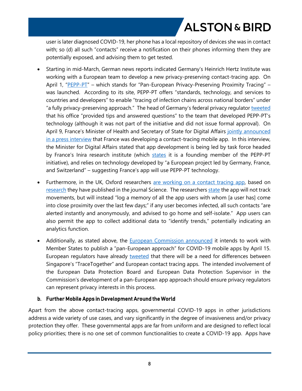user is later diagnosed COVID-19, her phone has a local repository of devices she was in contact with; so (d) all such "contacts" receive a notification on their phones informing them they are potentially exposed, and advising them to get tested.

- Starting in mid-March, German news reports indicated Germany's Heinrich Hertz Institute was working with a European team to develop a new privacy-preserving contact-tracing app. On April 1, "[PEPP-PT](https://www.pepp-pt.org/)" – which stands for "Pan-European Privacy-Preserving Proximity Tracing" – was launched. According to its site, PEPP-PT offers "standards, technology, and services to countries and developers" to enable "tracing of infection chains across national borders" under "a fully privacy-preserving approach." The head of Germany's federal privacy regulator [tweeted](https://twitter.com/UlrichKelber/status/1245285080874070017?s=20) that his office "provided tips and answered questions" to the team that developed PEPP-PT's technology (although it was not part of the initiative and did not issue formal approval). On April 9, France's Minister of Health and Secretary of State for Digital Affairs [jointly announced](https://www.lemonde.fr/planete/article/2020/04/08/stopcovid-l-application-sur-laquelle-travaille-le-gouvernement-pour-contrer-l-epidemie_6035927_3244.html)  [in a press interview](https://www.lemonde.fr/planete/article/2020/04/08/stopcovid-l-application-sur-laquelle-travaille-le-gouvernement-pour-contrer-l-epidemie_6035927_3244.html) that France was developing a contact-tracing mobile app. In this interview, the Minister for Digital Affairs stated that app development is being led by task force headed by France's Inira research institute (which [states](https://www.inria.fr/en/initiative-pepp-pt) it is a founding member of the PEPP-PT initiative), and relies on technology developed by "a European project led by Germany, France, and Switzerland" – suggesting France's app will use PEPP-PT technology.
- Furthermore, in the UK, Oxford researchers [are working on a contact tracing app](https://045.medsci.ox.ac.uk/for-media), based on [research](https://science.sciencemag.org/content/early/2020/03/30/science.abb6936) they have published in the journal Science. The researchers [state](https://045.medsci.ox.ac.uk/for-media) the app will not track movements, but will instead "log a memory of all the app users with whom [a user has] come into close proximity over the last few days;" if any user becomes infected, all such contacts "are alerted instantly and anonymously, and advised to go home and self-isolate." App users can also permit the app to collect additional data to "identify trends," potentially indicating an analytics function.
- Additionally, as stated above, the **[European Commission announced](https://ec.europa.eu/info/sites/info/files/recommendation_on_apps_for_contact_tracing_4.pdf)** it intends to work with Member States to publish a "pan-European approach" for COVID-19 mobile apps by April 15. European regulators have already [tweeted](https://twitter.com/W_Wiewiorowski/status/1243443048304062464?s=20) that there will be a need for differences between Singapore's "TraceTogether" and European contact tracing apps. The intended involvement of the European Data Protection Board and European Data Protection Supervisor in the Commission's development of a pan-European app approach should ensure privacy regulators can represent privacy interests in this process.

#### **b. Further Mobile Apps in Development Around the World**

Apart from the above contact-tracing apps, governmental COVID-19 apps in other jurisdictions address a wide variety of use cases, and vary significantly in the degree of invasiveness and/or privacy protection they offer. These governmental apps are far from uniform and are designed to reflect local policy priorities; there is no one set of common functionalities to create a COVID-19 app. Apps have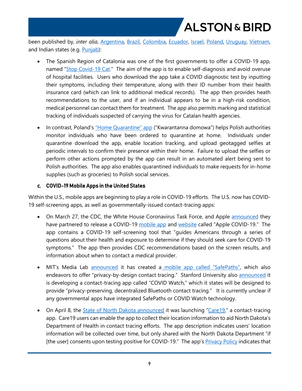been published by, *inter alia*, [Argentina](https://apps.apple.com/ar/app/covid-19-ministerio-de-salud/id1503956284), [Brazil,](https://apps.apple.com/us/app/coronav%C3%ADrus-sus/id1408008382) [Colombia](https://apps.apple.com/bf/app/coronapp-colombia/id1502037648), [Ecuador](https://play.google.com/store/apps/details?id=ec.gob.gobiernoelectronico.coronavirus), [Israel,](https://apps.apple.com/il/app/coronapp/id1500189423) [Poland,](https://apps.apple.com/pl/app/kwarantanna-domowa/id1502997499?l=pl) [Uruguay,](https://apps.apple.com/us/app/id1503026854) [Vietnam](https://play.google.com/store/apps/details?id=com.Eha.covid_19), and Indian states (e.g. [Punjab\)](https://play.google.com/store/apps/details?id=in.gov.punjab.cova.punjab):

- The Spanish Region of Catalonia was one of the first governments to offer a COVID-19 app, named ["Stop Covid-19 Cat](https://apps.apple.com/app/id1502992288)." The aim of the app is to enable self-diagnosis and avoid overuse of hospital facilities. Users who download the app take a COVID diagnostic test by inputting their symptoms, including their temperature, along with their ID number from their health insurance card (which can link to additional medical records). The app then provides heath recommendations to the user, and if an individual appears to be in a high-risk condition, medical personnel can contact them for treatment. The app also permits marking and statistical tracking of individuals suspected of carrying the virus for Catalan health agencies.
- In contrast, Poland's ["Home Quarantine" app](https://www.gov.pl/web/koronawirus/kwarantanna-domowa) ("Kwarantanna domowa") helps Polish authorities monitor individuals who have been ordered to quarantine at home. Individuals under quarantine download the app, enable location tracking, and upload geotagged selfies at periodic intervals to confirm their presence within their home. Failure to upload the selfies or perform other actions prompted by the app can result in an automated alert being sent to Polish authorities. The app also enables quarantined individuals to make requests for in-home supplies (such as groceries) to Polish social services.

#### **c. COVID-19 Mobile Apps in the United States**

Within the U.S., mobile apps are beginning to play a role in COVID-19 efforts. The U.S. now has COVID-19 self-screening apps, as well as governmentally-issued contact-tracing apps:

- On March 27, the CDC, the White House Coronavirus Task Force, and Apple [announced](https://www.cdc.gov/media/releases/2020/s0327-statement-covid-19-apple-app.html) they have partnered to release a COVID-19 [mobile app](https://apps.apple.com/us/app/id1504132184) and [website](https://www.apple.com/covid19) called "Apple COVID-19." The app contains a COVID-19 self-screening tool that "guides Americans through a series of questions about their health and exposure to determine if they should seek care for COVID-19 symptoms." The app then provides CDC recommendations based on the screen results, and information about when to contact a medical provider.
- MIT's Media Lab [announced](https://www.media.mit.edu/projects/safepaths/overview/) it has created a [mobile app called "SafePaths",](http://safepaths.mit.edu/) which also endeavors to offer "privacy-by-design contact tracing." Stanford University also [announced](https://www.covid-watch.org/) it is developing a contact-tracing app called "COVID Watch," which it states will be designed to provide "privacy-preserving, decentralized Bluetooth contact tracing." It is currently unclear if any governmental apps have integrated SafePaths or COVID Watch technology.
- On April 8, the [State of North Dakota announced](https://www.health.nd.gov/news/north-dakota-launches-care19-app-combat-covid-19) it was launching "Care 19," a contact-tracing app. Care19 users can enable the app to collect their location information to aid North Dakota's Department of Health in contact tracing efforts. The app description indicates users' location information will be collected over time, but only shared with the North Dakota Department "if [the user] consents upon testing positive for COVID-19." The app's **Privacy Policy** indicates that